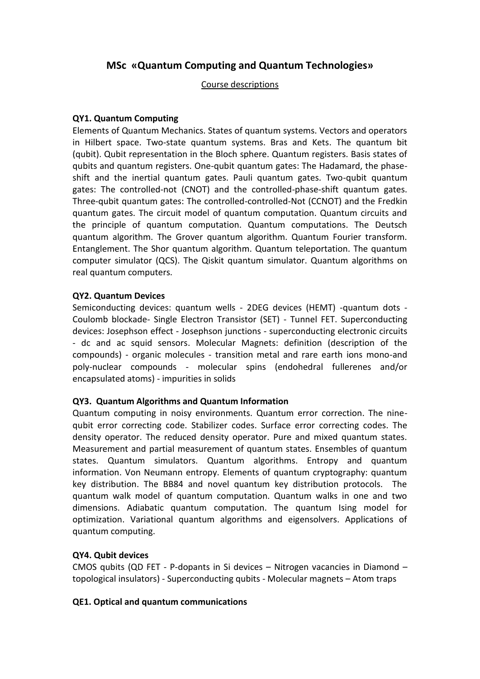# **MSc «Quantum Computing and Quantum Technologies»**

### Course descriptions

### **QY1. Quantum Computing**

Elements of Quantum Mechanics. States of quantum systems. Vectors and operators in Hilbert space. Two-state quantum systems. Bras and Kets. The quantum bit (qubit). Qubit representation in the Bloch sphere. Quantum registers. Basis states of qubits and quantum registers. One-qubit quantum gates: The Hadamard, the phaseshift and the inertial quantum gates. Pauli quantum gates. Two-qubit quantum gates: The controlled-not (CNOT) and the controlled-phase-shift quantum gates. Three-qubit quantum gates: The controlled-controlled-Not (CCNOT) and the Fredkin quantum gates. The circuit model of quantum computation. Quantum circuits and the principle of quantum computation. Quantum computations. The Deutsch quantum algorithm. The Grover quantum algorithm. Quantum Fourier transform. Entanglement. The Shor quantum algorithm. Quantum teleportation. The quantum computer simulator (QCS). The Qiskit quantum simulator. Quantum algorithms on real quantum computers.

### **QY2. Quantum Devices**

Semiconducting devices: quantum wells - 2DEG devices (HEMT) -quantum dots - Coulomb blockade- Single Electron Transistor (SET) - Tunnel FET. Superconducting devices: Josephson effect - Josephson junctions - superconducting electronic circuits - dc and ac squid sensors. Molecular Magnets: definition (description of the compounds) - organic molecules - transition metal and rare earth ions mono-and poly-nuclear compounds - molecular spins (endohedral fullerenes and/or encapsulated atoms) - impurities in solids

### **QY3. Quantum Algorithms and Quantum Information**

Quantum computing in noisy environments. Quantum error correction. The ninequbit error correcting code. Stabilizer codes. Surface error correcting codes. The density operator. The reduced density operator. Pure and mixed quantum states. Measurement and partial measurement of quantum states. Ensembles of quantum states. Quantum simulators. Quantum algorithms. Entropy and quantum information. Von Neumann entropy. Elements of quantum cryptography: quantum key distribution. The BB84 and novel quantum key distribution protocols. The quantum walk model of quantum computation. Quantum walks in one and two dimensions. Adiabatic quantum computation. The quantum Ising model for optimization. Variational quantum algorithms and eigensolvers. Applications of quantum computing.

### **QY4. Qubit devices**

CMOS qubits (QD FET - P-dopants in Si devices – Nitrogen vacancies in Diamond – topological insulators) - Superconducting qubits - Molecular magnets – Atom traps

### **QE1. Optical and quantum communications**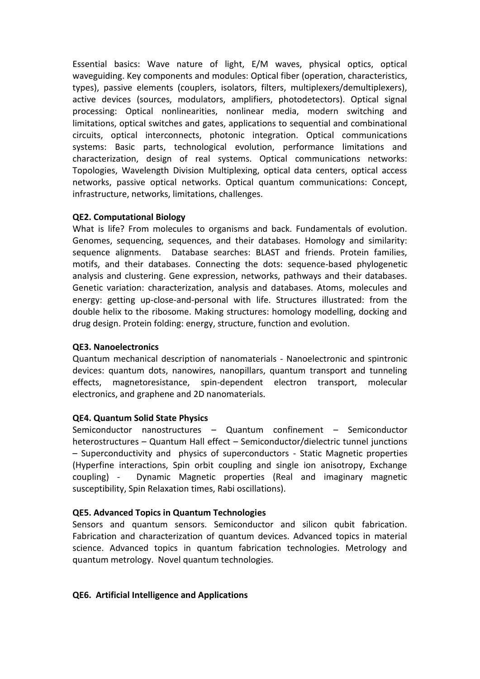Essential basics: Wave nature of light, E/M waves, physical optics, optical waveguiding. Key components and modules: Optical fiber (operation, characteristics, types), passive elements (couplers, isolators, filters, multiplexers/demultiplexers), active devices (sources, modulators, amplifiers, photodetectors). Optical signal processing: Optical nonlinearities, nonlinear media, modern switching and limitations, optical switches and gates, applications to sequential and combinational circuits, optical interconnects, photonic integration. Optical communications systems: Basic parts, technological evolution, performance limitations and characterization, design of real systems. Optical communications networks: Topologies, Wavelength Division Multiplexing, optical data centers, optical access networks, passive optical networks. Optical quantum communications: Concept, infrastructure, networks, limitations, challenges.

### **QE2. Computational Biology**

What is life? From molecules to organisms and back. Fundamentals of evolution. Genomes, sequencing, sequences, and their databases. Homology and similarity: sequence alignments. Database searches: BLAST and friends. Protein families, motifs, and their databases. Connecting the dots: sequence-based phylogenetic analysis and clustering. Gene expression, networks, pathways and their databases. Genetic variation: characterization, analysis and databases. Atoms, molecules and energy: getting up-close-and-personal with life. Structures illustrated: from the double helix to the ribosome. Making structures: homology modelling, docking and drug design. Protein folding: energy, structure, function and evolution.

# **QE3. Nanoelectronics**

Quantum mechanical description of nanomaterials - Nanoelectronic and spintronic devices: quantum dots, nanowires, nanopillars, quantum transport and tunneling effects, magnetoresistance, spin-dependent electron transport, molecular electronics, and graphene and 2D nanomaterials.

# **QE4. Quantum Solid State Physics**

Semiconductor nanostructures – Quantum confinement – Semiconductor heterostructures – Quantum Hall effect – Semiconductor/dielectric tunnel junctions – Superconductivity and physics of superconductors - Static Magnetic properties (Hyperfine interactions, Spin orbit coupling and single ion anisotropy, Exchange coupling) - Dynamic Magnetic properties (Real and imaginary magnetic susceptibility, Spin Relaxation times, Rabi oscillations).

# **QE5. Advanced Topics in Quantum Technologies**

Sensors and quantum sensors. Semiconductor and silicon qubit fabrication. Fabrication and characterization of quantum devices. Advanced topics in material science. Advanced topics in quantum fabrication technologies. Metrology and quantum metrology. Novel quantum technologies.

### **QE6. Artificial Intelligence and Applications**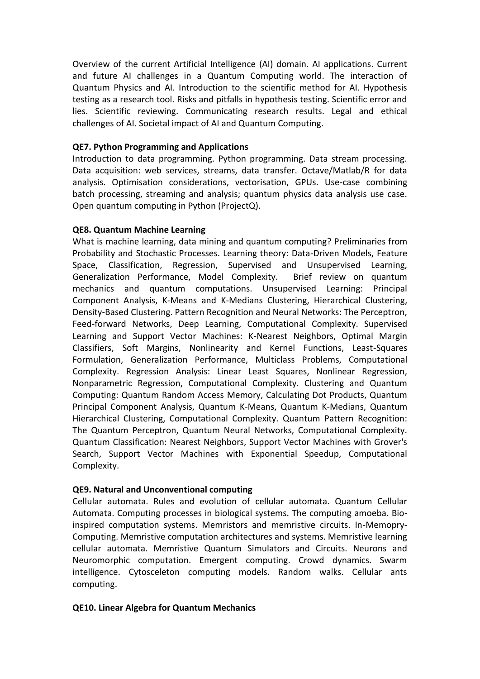Overview of the current Artificial Intelligence (AI) domain. AI applications. Current and future AI challenges in a Quantum Computing world. The interaction of Quantum Physics and AI. Introduction to the scientific method for AI. Hypothesis testing as a research tool. Risks and pitfalls in hypothesis testing. Scientific error and lies. Scientific reviewing. Communicating research results. Legal and ethical challenges of AI. Societal impact of AI and Quantum Computing.

### **QE7. Python Programming and Applications**

Introduction to data programming. Python programming. Data stream processing. Data acquisition: web services, streams, data transfer. Octave/Matlab/R for data analysis. Optimisation considerations, vectorisation, GPUs. Use-case combining batch processing, streaming and analysis; quantum physics data analysis use case. Open quantum computing in Python (ProjectQ).

### **QE8. Quantum Machine Learning**

What is machine learning, data mining and quantum computing? Preliminaries from Probability and Stochastic Processes. Learning theory: Data-Driven Models, Feature Space, Classification, Regression, Supervised and Unsupervised Learning, Generalization Performance, Model Complexity. Brief review on quantum mechanics and quantum computations. Unsupervised Learning: Principal Component Analysis, K-Means and K-Medians Clustering, Hierarchical Clustering, Density-Based Clustering. Pattern Recognition and Neural Networks: The Perceptron, Feed-forward Networks, Deep Learning, Computational Complexity. Supervised Learning and Support Vector Machines: K-Nearest Neighbors, Optimal Margin Classifiers, Soft Margins, Nonlinearity and Kernel Functions, Least-Squares Formulation, Generalization Performance, Multiclass Problems, Computational Complexity. Regression Analysis: Linear Least Squares, Nonlinear Regression, Nonparametric Regression, Computational Complexity. Clustering and Quantum Computing: Quantum Random Access Memory, Calculating Dot Products, Quantum Principal Component Analysis, Quantum K-Means, Quantum K-Medians, Quantum Hierarchical Clustering, Computational Complexity. Quantum Pattern Recognition: The Quantum Perceptron, Quantum Neural Networks, Computational Complexity. Quantum Classification: Nearest Neighbors, Support Vector Machines with Grover's Search, Support Vector Machines with Exponential Speedup, Computational Complexity.

### **QE9. Natural and Unconventional computing**

Cellular automata. Rules and evolution of cellular automata. Quantum Cellular Automata. Computing processes in biological systems. The computing amoeba. Bioinspired computation systems. Memristors and memristive circuits. In-Memopry-Computing. Memristive computation architectures and systems. Memristive learning cellular automata. Memristive Quantum Simulators and Circuits. Neurons and Neuromorphic computation. Emergent computing. Crowd dynamics. Swarm intelligence. Cytosceleton computing models. Random walks. Cellular ants computing.

# **QE10. Linear Algebra for Quantum Mechanics**